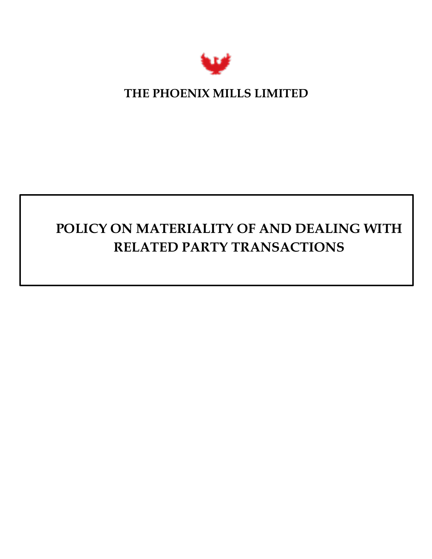

# **THE PHOENIX MILLS LIMITED**

# **POLICY ON MATERIALITY OF AND DEALING WITH RELATED PARTY TRANSACTIONS**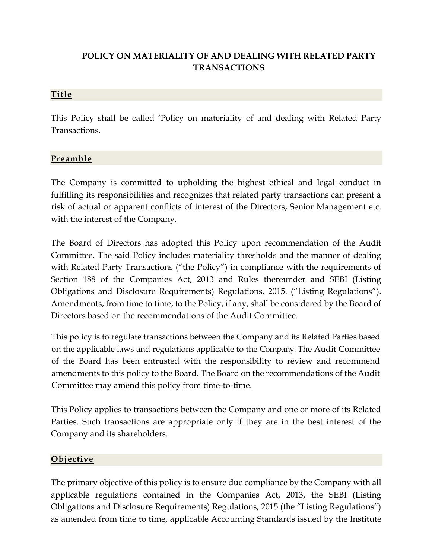# **POLICY ON MATERIALITY OF AND DEALING WITH RELATED PARTY TRANSACTIONS**

#### **Title**

This Policy shall be called 'Policy on materiality of and dealing with Related Party Transactions.

#### **Preamble**

The Company is committed to upholding the highest ethical and legal conduct in fulfilling its responsibilities and recognizes that related party transactions can present a risk of actual or apparent conflicts of interest of the Directors, Senior Management etc. with the interest of the Company.

The Board of Directors has adopted this Policy upon recommendation of the Audit Committee. The said Policy includes materiality thresholds and the manner of dealing with Related Party Transactions ("the Policy") in compliance with the requirements of Section 188 of the Companies Act, 2013 and Rules thereunder and SEBI (Listing Obligations and Disclosure Requirements) Regulations, 2015. ("Listing Regulations"). Amendments, from time to time, to the Policy, if any, shall be considered by the Board of Directors based on the recommendations of the Audit Committee.

This policy is to regulate transactions between the Company and its Related Parties based on the applicable laws and regulations applicable to the Company. The Audit Committee of the Board has been entrusted with the responsibility to review and recommend amendments to this policy to the Board. The Board on the recommendations of the Audit Committee may amend this policy from time-to-time.

This Policy applies to transactions between the Company and one or more of its Related Parties. Such transactions are appropriate only if they are in the best interest of the Company and its shareholders.

#### **Objective**

The primary objective of this policy is to ensure due compliance by the Company with all applicable regulations contained in the Companies Act, 2013, the SEBI (Listing Obligations and Disclosure Requirements) Regulations, 2015 (the "Listing Regulations") as amended from time to time, applicable Accounting Standards issued by the Institute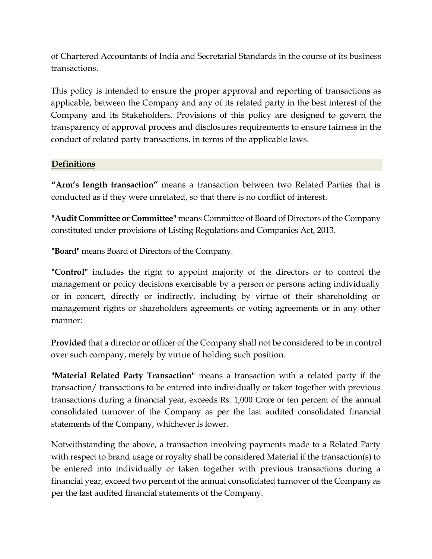of Chartered Accountants of India and Secretarial Standards in the course of its business transactions.

This policy is intended to ensure the proper approval and reporting of transactions as applicable, between the Company and any of its related party in the best interest of the Company and its Stakeholders. Provisions of this policy are designed to govern the transparency of approval process and disclosures requirements to ensure fairness in the conduct of related party transactions, in terms of the applicable laws.

#### **Definitions**

**"Arm's length transaction"** means a transaction between two Related Parties that is conducted as if they were unrelated, so that there is no conflict of interest.

**"Audit Committee or Committee"** means Committee of Board of Directors of the Company constituted under provisions of Listing Regulations and Companies Act, 2013.

**"Board"** means Board of Directors of the Company.

**"Control"** includes the right to appoint majority of the directors or to control the management or policy decisions exercisable by a person or persons acting individually or in concert, directly or indirectly, including by virtue of their shareholding or management rights or shareholders agreements or voting agreements or in any other manner:

**Provided** that a director or officer of the Company shall not be considered to be in control over such company, merely by virtue of holding such position.

**"Material Related Party Transaction"** means a transaction with a related party if the transaction/ transactions to be entered into individually or taken together with previous transactions during a financial year, exceeds Rs. 1,000 Crore or ten percent of the annual consolidated turnover of the Company as per the last audited consolidated financial statements of the Company, whichever is lower.

Notwithstanding the above, a transaction involving payments made to a Related Party with respect to brand usage or royalty shall be considered Material if the transaction(s) to be entered into individually or taken together with previous transactions during a financial year, exceed two percent of the annual consolidated turnover of the Company as per the last audited financial statements of the Company.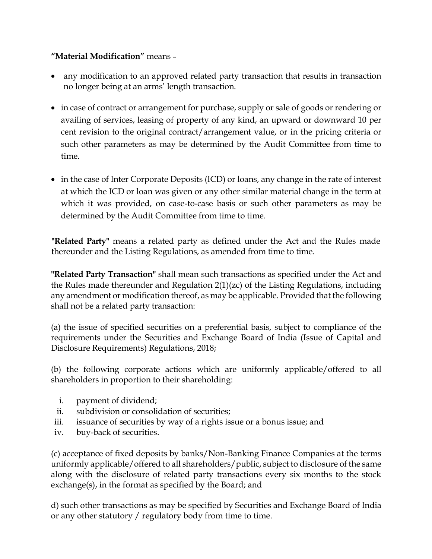### **"Material Modification"** means –

- any modification to an approved related party transaction that results in transaction no longer being at an arms' length transaction.
- in case of contract or arrangement for purchase, supply or sale of goods or rendering or availing of services, leasing of property of any kind, an upward or downward 10 per cent revision to the original contract/arrangement value, or in the pricing criteria or such other parameters as may be determined by the Audit Committee from time to time.
- in the case of Inter Corporate Deposits (ICD) or loans, any change in the rate of interest at which the ICD or loan was given or any other similar material change in the term at which it was provided, on case-to-case basis or such other parameters as may be determined by the Audit Committee from time to time.

**"Related Party"** means a related party as defined under the Act and the Rules made thereunder and the Listing Regulations, as amended from time to time.

**"Related Party Transaction"** shall mean such transactions as specified under the Act and the Rules made thereunder and Regulation 2(1)(zc) of the Listing Regulations, including any amendment or modification thereof, as may be applicable. Provided that the following shall not be a related party transaction:

(a) the issue of specified securities on a preferential basis, subject to compliance of the requirements under the Securities and Exchange Board of India (Issue of Capital and Disclosure Requirements) Regulations, 2018;

(b) the following corporate actions which are uniformly applicable/offered to all shareholders in proportion to their shareholding:

- i. payment of dividend;
- ii. subdivision or consolidation of securities;
- iii. issuance of securities by way of a rights issue or a bonus issue; and
- iv. buy-back of securities.

(c) acceptance of fixed deposits by banks/Non-Banking Finance Companies at the terms uniformly applicable/offered to all shareholders/public, subject to disclosure of the same along with the disclosure of related party transactions every six months to the stock exchange(s), in the format as specified by the Board; and

d) such other transactions as may be specified by Securities and Exchange Board of India or any other statutory / regulatory body from time to time.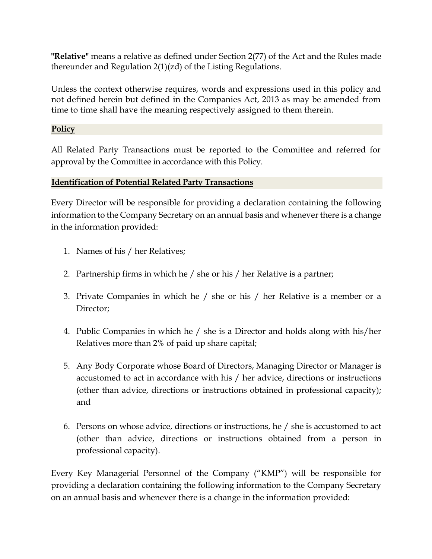**"Relative"** means a relative as defined under Section 2(77) of the Act and the Rules made thereunder and Regulation 2(1)(zd) of the Listing Regulations.

Unless the context otherwise requires, words and expressions used in this policy and not defined herein but defined in the Companies Act, 2013 as may be amended from time to time shall have the meaning respectively assigned to them therein.

#### **Policy**

All Related Party Transactions must be reported to the Committee and referred for approval by the Committee in accordance with this Policy.

#### **Identification of Potential Related Party Transactions**

Every Director will be responsible for providing a declaration containing the following information to the Company Secretary on an annual basis and whenever there is a change in the information provided:

- 1. Names of his / her Relatives;
- 2. Partnership firms in which he / she or his / her Relative is a partner;
- 3. Private Companies in which he / she or his / her Relative is a member or a Director:
- 4. Public Companies in which he / she is a Director and holds along with his/her Relatives more than 2% of paid up share capital;
- 5. Any Body Corporate whose Board of Directors, Managing Director or Manager is accustomed to act in accordance with his / her advice, directions or instructions (other than advice, directions or instructions obtained in professional capacity); and
- 6. Persons on whose advice, directions or instructions, he / she is accustomed to act (other than advice, directions or instructions obtained from a person in professional capacity).

Every Key Managerial Personnel of the Company ("KMP") will be responsible for providing a declaration containing the following information to the Company Secretary on an annual basis and whenever there is a change in the information provided: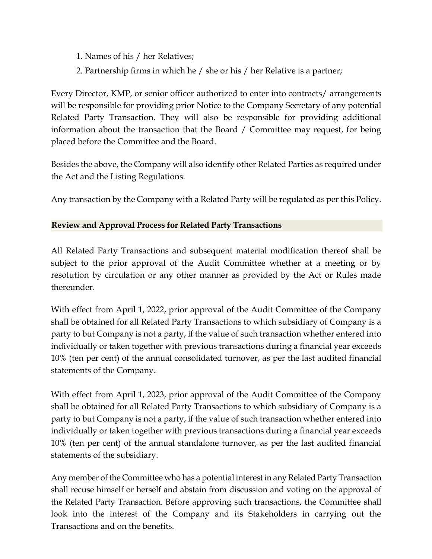- 1. Names of his / her Relatives;
- 2. Partnership firms in which he / she or his / her Relative is a partner;

Every Director, KMP, or senior officer authorized to enter into contracts/ arrangements will be responsible for providing prior Notice to the Company Secretary of any potential Related Party Transaction. They will also be responsible for providing additional information about the transaction that the Board / Committee may request, for being placed before the Committee and the Board.

Besides the above, the Company will also identify other Related Parties as required under the Act and the Listing Regulations.

Any transaction by the Company with a Related Party will be regulated as per this Policy.

### **Review and Approval Process for Related Party Transactions**

All Related Party Transactions and subsequent material modification thereof shall be subject to the prior approval of the Audit Committee whether at a meeting or by resolution by circulation or any other manner as provided by the Act or Rules made thereunder.

With effect from April 1, 2022, prior approval of the Audit Committee of the Company shall be obtained for all Related Party Transactions to which subsidiary of Company is a party to but Company is not a party, if the value of such transaction whether entered into individually or taken together with previous transactions during a financial year exceeds 10% (ten per cent) of the annual consolidated turnover, as per the last audited financial statements of the Company.

With effect from April 1, 2023, prior approval of the Audit Committee of the Company shall be obtained for all Related Party Transactions to which subsidiary of Company is a party to but Company is not a party, if the value of such transaction whether entered into individually or taken together with previous transactions during a financial year exceeds 10% (ten per cent) of the annual standalone turnover, as per the last audited financial statements of the subsidiary.

Any member of the Committee who has a potential interest in any Related Party Transaction shall recuse himself or herself and abstain from discussion and voting on the approval of the Related Party Transaction. Before approving such transactions, the Committee shall look into the interest of the Company and its Stakeholders in carrying out the Transactions and on the benefits.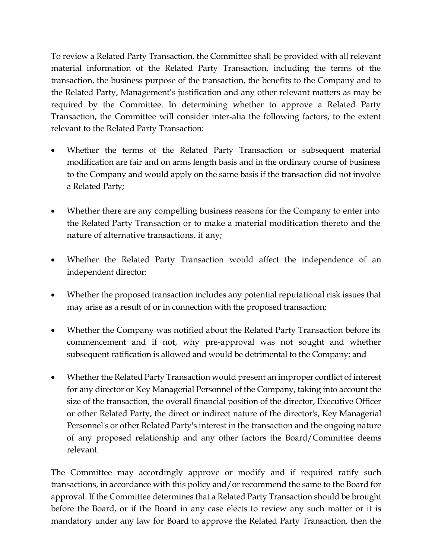To review a Related Party Transaction, the Committee shall be provided with all relevant material information of the Related Party Transaction, including the terms of the transaction, the business purpose of the transaction, the benefits to the Company and to the Related Party, Management's justification and any other relevant matters as may be required by the Committee. In determining whether to approve a Related Party Transaction, the Committee will consider inter-alia the following factors, to the extent relevant to the Related Party Transaction:

- Whether the terms of the Related Party Transaction or subsequent material modification are fair and on arms length basis and in the ordinary course of business to the Company and would apply on the same basis if the transaction did not involve a Related Party;
- Whether there are any compelling business reasons for the Company to enter into the Related Party Transaction or to make a material modification thereto and the nature of alternative transactions, if any;
- Whether the Related Party Transaction would affect the independence of an independent director;
- Whether the proposed transaction includes any potential reputational risk issues that may arise as a result of or in connection with the proposed transaction;
- Whether the Company was notified about the Related Party Transaction before its commencement and if not, why pre-approval was not sought and whether subsequent ratification is allowed and would be detrimental to the Company; and
- Whether the Related Party Transaction would present an improper conflict of interest for any director or Key Managerial Personnel of the Company, taking into account the size of the transaction, the overall financial position of the director, Executive Officer or other Related Party, the direct or indirect nature of the director's, Key Managerial Personnel's or other Related Party's interest in the transaction and the ongoing nature of any proposed relationship and any other factors the Board/Committee deems relevant.

The Committee may accordingly approve or modify and if required ratify such transactions, in accordance with this policy and/or recommend the same to the Board for approval. If the Committee determines that a Related Party Transaction should be brought before the Board, or if the Board in any case elects to review any such matter or it is mandatory under any law for Board to approve the Related Party Transaction, then the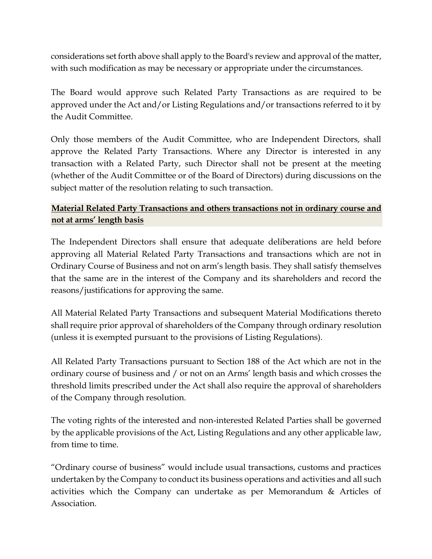considerations set forth above shall apply to the Board's review and approval of the matter, with such modification as may be necessary or appropriate under the circumstances.

The Board would approve such Related Party Transactions as are required to be approved under the Act and/or Listing Regulations and/or transactions referred to it by the Audit Committee.

Only those members of the Audit Committee, who are Independent Directors, shall approve the Related Party Transactions. Where any Director is interested in any transaction with a Related Party, such Director shall not be present at the meeting (whether of the Audit Committee or of the Board of Directors) during discussions on the subject matter of the resolution relating to such transaction.

# **Material Related Party Transactions and others transactions not in ordinary course and not at arms' length basis**

The Independent Directors shall ensure that adequate deliberations are held before approving all Material Related Party Transactions and transactions which are not in Ordinary Course of Business and not on arm's length basis. They shall satisfy themselves that the same are in the interest of the Company and its shareholders and record the reasons/justifications for approving the same.

All Material Related Party Transactions and subsequent Material Modifications thereto shall require prior approval of shareholders of the Company through ordinary resolution (unless it is exempted pursuant to the provisions of Listing Regulations).

All Related Party Transactions pursuant to Section 188 of the Act which are not in the ordinary course of business and / or not on an Arms' length basis and which crosses the threshold limits prescribed under the Act shall also require the approval of shareholders of the Company through resolution.

The voting rights of the interested and non-interested Related Parties shall be governed by the applicable provisions of the Act, Listing Regulations and any other applicable law, from time to time.

"Ordinary course of business" would include usual transactions, customs and practices undertaken by the Company to conduct its business operations and activities and all such activities which the Company can undertake as per Memorandum & Articles of Association.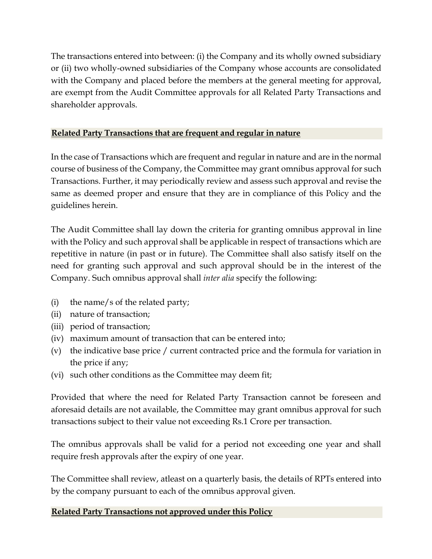The transactions entered into between: (i) the Company and its wholly owned subsidiary or (ii) two wholly-owned subsidiaries of the Company whose accounts are consolidated with the Company and placed before the members at the general meeting for approval, are exempt from the Audit Committee approvals for all Related Party Transactions and shareholder approvals.

# **Related Party Transactions that are frequent and regular in nature**

In the case of Transactions which are frequent and regular in nature and are in the normal course of business of the Company, the Committee may grant omnibus approval for such Transactions. Further, it may periodically review and assess such approval and revise the same as deemed proper and ensure that they are in compliance of this Policy and the guidelines herein.

The Audit Committee shall lay down the criteria for granting omnibus approval in line with the Policy and such approval shall be applicable in respect of transactions which are repetitive in nature (in past or in future). The Committee shall also satisfy itself on the need for granting such approval and such approval should be in the interest of the Company. Such omnibus approval shall *inter alia* specify the following:

- (i) the name/s of the related party;
- (ii) nature of transaction;
- (iii) period of transaction;
- (iv) maximum amount of transaction that can be entered into;
- (v) the indicative base price / current contracted price and the formula for variation in the price if any;
- (vi) such other conditions as the Committee may deem fit;

Provided that where the need for Related Party Transaction cannot be foreseen and aforesaid details are not available, the Committee may grant omnibus approval for such transactions subject to their value not exceeding Rs.1 Crore per transaction.

The omnibus approvals shall be valid for a period not exceeding one year and shall require fresh approvals after the expiry of one year.

The Committee shall review, atleast on a quarterly basis, the details of RPTs entered into by the company pursuant to each of the omnibus approval given.

## **Related Party Transactions not approved under this Policy**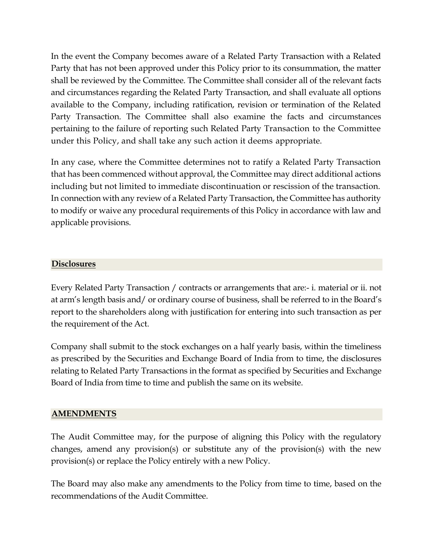In the event the Company becomes aware of a Related Party Transaction with a Related Party that has not been approved under this Policy prior to its consummation, the matter shall be reviewed by the Committee. The Committee shall consider all of the relevant facts and circumstances regarding the Related Party Transaction, and shall evaluate all options available to the Company, including ratification, revision or termination of the Related Party Transaction. The Committee shall also examine the facts and circumstances pertaining to the failure of reporting such Related Party Transaction to the Committee under this Policy, and shall take any such action it deems appropriate.

In any case, where the Committee determines not to ratify a Related Party Transaction that has been commenced without approval, the Committee may direct additional actions including but not limited to immediate discontinuation or rescission of the transaction. In connection with any review of a Related Party Transaction, the Committee has authority to modify or waive any procedural requirements of this Policy in accordance with law and applicable provisions.

#### **Disclosures**

Every Related Party Transaction / contracts or arrangements that are:- i. material or ii. not at arm's length basis and/ or ordinary course of business, shall be referred to in the Board's report to the shareholders along with justification for entering into such transaction as per the requirement of the Act.

Company shall submit to the stock exchanges on a half yearly basis, within the timeliness as prescribed by the Securities and Exchange Board of India from to time, the disclosures relating to Related Party Transactions in the format as specified by Securities and Exchange Board of India from time to time and publish the same on its website.

#### **AMENDMENTS**

The Audit Committee may, for the purpose of aligning this Policy with the regulatory changes, amend any provision(s) or substitute any of the provision(s) with the new provision(s) or replace the Policy entirely with a new Policy.

The Board may also make any amendments to the Policy from time to time, based on the recommendations of the Audit Committee.